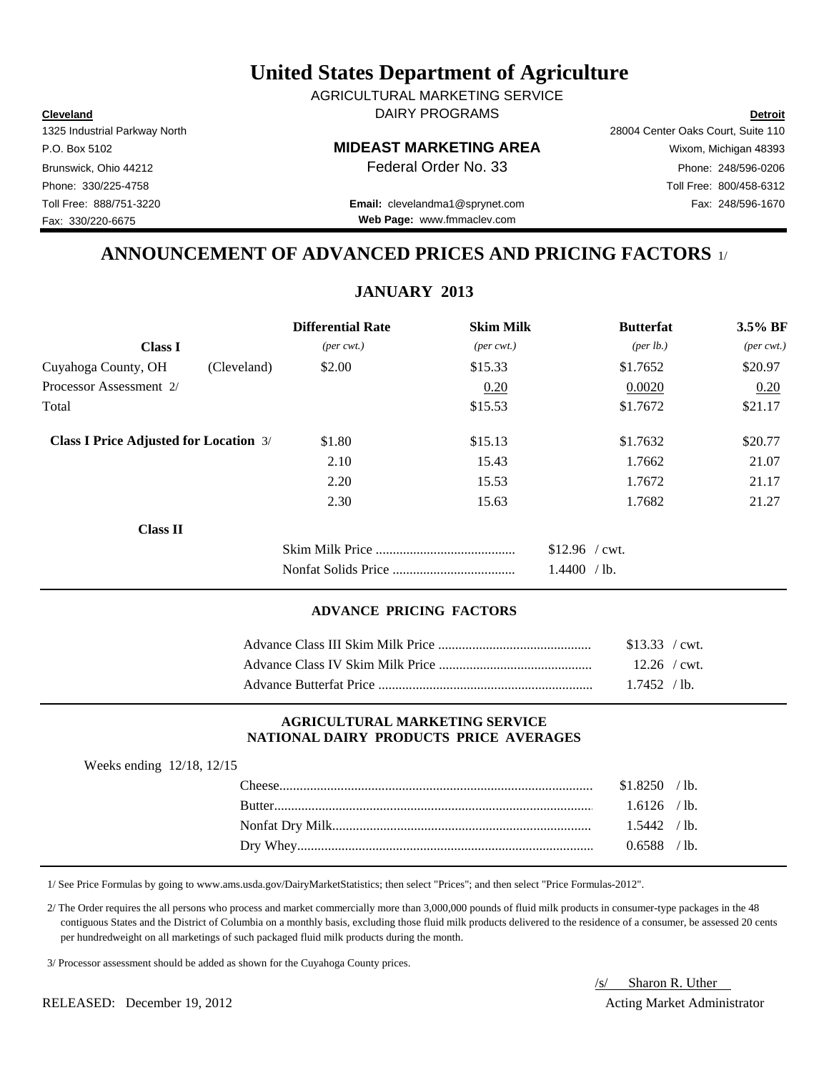**Cleveland Detroit** DAIRY PROGRAMS AGRICULTURAL MARKETING SERVICE

Fax: 330/220-6675

P.O. Box 5102 **MIDEAST MARKETING AREA** Wixom, Michigan 48393

Toll Free: 888/751-3220 Fax: 248/596-1670 **Email:** clevelandma1@sprynet.com **Web Page:** www.fmmaclev.com

1325 Industrial Parkway North 28004 Center Oaks Court, Suite 110 Brunswick, Ohio 44212 **Phone: 248/596-0206 Federal Order No. 33** Phone: 248/596-0206 Phone: 330/225-4758 Toll Free: 800/458-6312

## **ANNOUNCEMENT OF ADVANCED PRICES AND PRICING FACTORS** 1/

**JANUARY 2013**

|                                               | <b>Differential Rate</b>    | <b>Skim Milk</b>            | <b>Butterfat</b>     | 3.5% BF                     |
|-----------------------------------------------|-----------------------------|-----------------------------|----------------------|-----------------------------|
| <b>Class I</b>                                | $(\text{per} \text{ cwt.})$ | $(\text{per} \text{ cwt.})$ | ${\rm (per \, lb.)}$ | $(\text{per} \text{ cwt.})$ |
| Cuyahoga County, OH<br>(Cleveland)            | \$2.00                      | \$15.33                     | \$1.7652             | \$20.97                     |
| Processor Assessment 2/                       |                             | 0.20                        | 0.0020               | 0.20                        |
| Total                                         |                             | \$15.53                     | \$1.7672             | \$21.17                     |
| <b>Class I Price Adjusted for Location 3/</b> | \$1.80                      | \$15.13                     | \$1.7632             | \$20.77                     |
|                                               | 2.10                        | 15.43                       | 1.7662               | 21.07                       |
|                                               | 2.20                        | 15.53                       | 1.7672               | 21.17                       |
|                                               | 2.30                        | 15.63                       | 1.7682               | 21.27                       |
| <b>Class II</b>                               |                             |                             |                      |                             |
|                                               |                             |                             | $$12.96$ / cwt.      |                             |
|                                               |                             |                             | 1.4400 / lb.         |                             |

## **ADVANCE PRICING FACTORS**

| \$13.33 / cwt. |  |
|----------------|--|
| $12.26$ / cwt. |  |
| 17452 / h      |  |

#### **AGRICULTURAL MARKETING SERVICE NATIONAL DAIRY PRODUCTS PRICE AVERAGES**

| Weeks ending 12/18, 12/15 |  |  |
|---------------------------|--|--|
|---------------------------|--|--|

| $$1.8250$ /lb. |  |
|----------------|--|
| $1.6126$ / lb. |  |
| $1.5442$ / lb. |  |
| $0.6588$ / lb. |  |

1/ See Price Formulas by going to www.ams.usda.gov/DairyMarketStatistics; then select "Prices"; and then select "Price Formulas-2012".

 2/ The Order requires the all persons who process and market commercially more than 3,000,000 pounds of fluid milk products in consumer-type packages in the 48 contiguous States and the District of Columbia on a monthly basis, excluding those fluid milk products delivered to the residence of a consumer, be assessed 20 cents per hundredweight on all marketings of such packaged fluid milk products during the month.

3/ Processor assessment should be added as shown for the Cuyahoga County prices.

/s/ Sharon R. Uther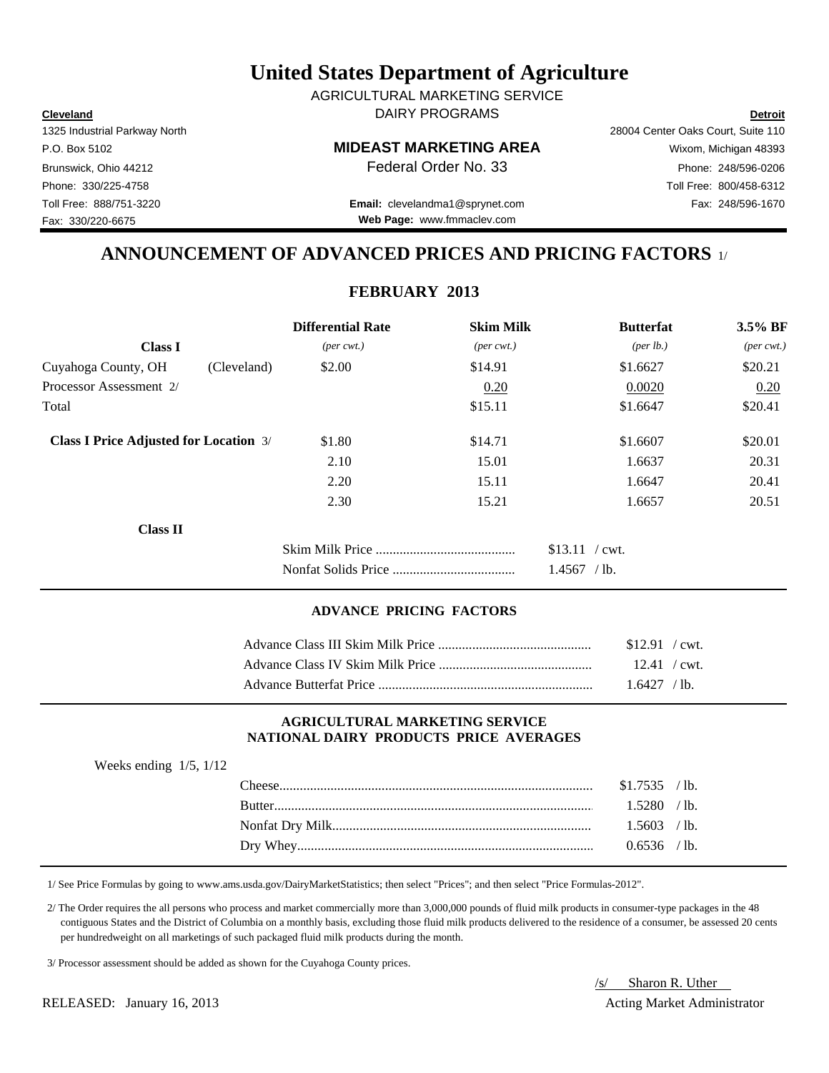**Cleveland Detroit** DAIRY PROGRAMS AGRICULTURAL MARKETING SERVICE

Fax: 330/220-6675

P.O. Box 5102 **MIDEAST MARKETING AREA** Wixom, Michigan 48393

Toll Free: 888/751-3220 Fax: 248/596-1670 **Email:** clevelandma1@sprynet.com **Web Page:** www.fmmaclev.com

1325 Industrial Parkway North 28004 Center Oaks Court, Suite 110 Brunswick, Ohio 44212 **Phone: 248/596-0206 Federal Order No. 33** Phone: 248/596-0206 Phone: 330/225-4758 Toll Free: 800/458-6312

## **ANNOUNCEMENT OF ADVANCED PRICES AND PRICING FACTORS** 1/

## **FEBRUARY 2013**

|                                               |             | <b>Differential Rate</b>    | <b>Skim Milk</b>            | <b>Butterfat</b>                 | $3.5\%$ BF                  |
|-----------------------------------------------|-------------|-----------------------------|-----------------------------|----------------------------------|-----------------------------|
| <b>Class I</b>                                |             | $(\text{per} \text{ cwt.})$ | $(\text{per} \text{ cwt.})$ | ${\rm (per \, lb.)}$             | $(\text{per} \text{ cwt.})$ |
| Cuyahoga County, OH                           | (Cleveland) | \$2.00                      | \$14.91                     | \$1.6627                         | \$20.21                     |
| Processor Assessment 2/                       |             |                             | 0.20                        | 0.0020                           | 0.20                        |
| Total                                         |             |                             | \$15.11                     | \$1.6647                         | \$20.41                     |
| <b>Class I Price Adjusted for Location 3/</b> |             | \$1.80                      | \$14.71                     | \$1.6607                         | \$20.01                     |
|                                               |             | 2.10                        | 15.01                       | 1.6637                           | 20.31                       |
|                                               |             | 2.20                        | 15.11                       | 1.6647                           | 20.41                       |
|                                               |             | 2.30                        | 15.21                       | 1.6657                           | 20.51                       |
| <b>Class II</b>                               |             |                             |                             |                                  |                             |
|                                               |             |                             |                             | $$13.11$ / cwt.<br>$1.4567$ /lb. |                             |

#### **ADVANCE PRICING FACTORS**

| $$12.91$ / cwt. |  |
|-----------------|--|
| $12.41$ / cwt.  |  |
| $16427$ /lb     |  |

#### **AGRICULTURAL MARKETING SERVICE NATIONAL DAIRY PRODUCTS PRICE AVERAGES**

| Weeks ending $1/5$ , $1/12$ |                  |                |  |
|-----------------------------|------------------|----------------|--|
|                             | $\text{Cheese}.$ | $$1.7535$ /lb. |  |
|                             |                  | 1.5280 / lb.   |  |
|                             |                  | $1.5603$ /lb.  |  |
|                             |                  | $0.6536$ /lb.  |  |
|                             |                  |                |  |

1/ See Price Formulas by going to www.ams.usda.gov/DairyMarketStatistics; then select "Prices"; and then select "Price Formulas-2012".

 2/ The Order requires the all persons who process and market commercially more than 3,000,000 pounds of fluid milk products in consumer-type packages in the 48 contiguous States and the District of Columbia on a monthly basis, excluding those fluid milk products delivered to the residence of a consumer, be assessed 20 cents per hundredweight on all marketings of such packaged fluid milk products during the month.

3/ Processor assessment should be added as shown for the Cuyahoga County prices.

/s/ Sharon R. Uther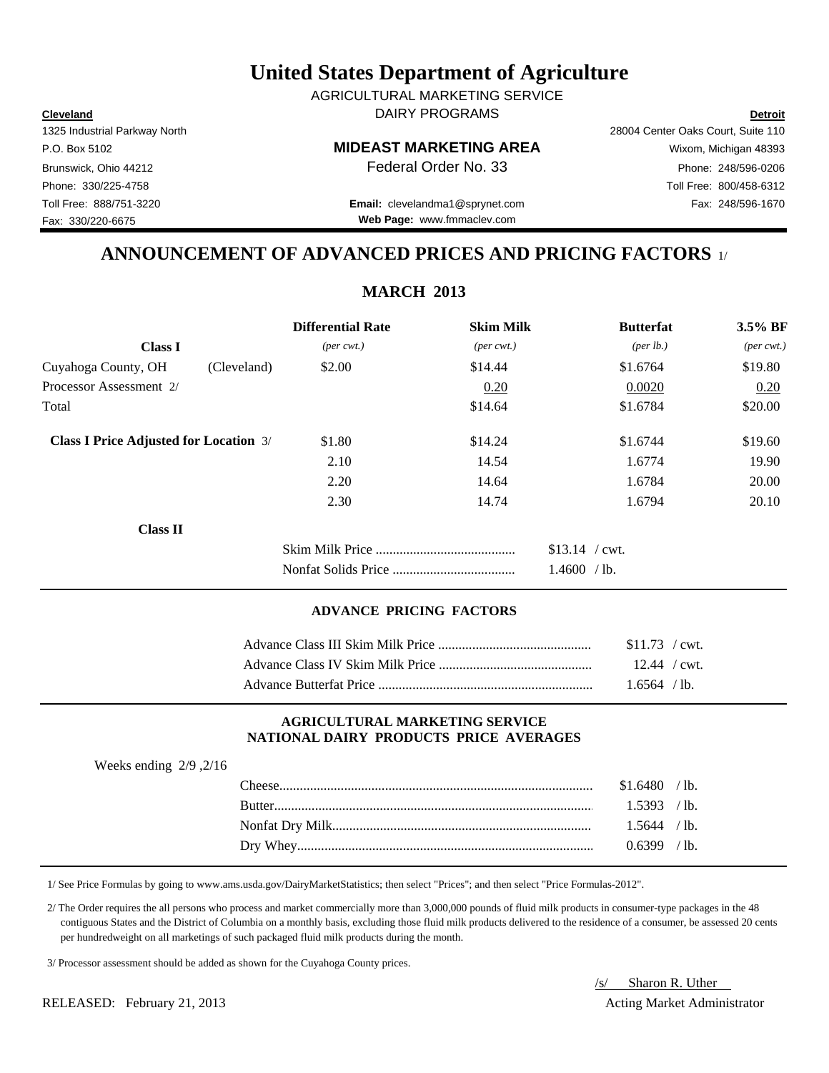**Cleveland Detroit** DAIRY PROGRAMS AGRICULTURAL MARKETING SERVICE

Fax: 330/220-6675

P.O. Box 5102 **MIDEAST MARKETING AREA** Wixom, Michigan 48393

Toll Free: 888/751-3220 Fax: 248/596-1670 **Email:** clevelandma1@sprynet.com **Web Page:** www.fmmaclev.com

1325 Industrial Parkway North 28004 Center Oaks Court, Suite 110 Brunswick, Ohio 44212 **Phone: 248/596-0206 Federal Order No. 33** Phone: 248/596-0206 Phone: 330/225-4758 Toll Free: 800/458-6312

## **ANNOUNCEMENT OF ADVANCED PRICES AND PRICING FACTORS** 1/

**MARCH 2013**

|                                               |             | <b>Differential Rate</b>    | <b>Skim Milk</b>            | <b>Butterfat</b>     | 3.5% BF                     |
|-----------------------------------------------|-------------|-----------------------------|-----------------------------|----------------------|-----------------------------|
| <b>Class I</b>                                |             | $(\text{per} \text{ cwt.})$ | $(\text{per} \text{ cwt.})$ | ${\rm (per \, lb.)}$ | $(\text{per} \text{ cwt.})$ |
| Cuyahoga County, OH                           | (Cleveland) | \$2.00                      | \$14.44                     | \$1.6764             | \$19.80                     |
| Processor Assessment 2/                       |             |                             | 0.20                        | 0.0020               | 0.20                        |
| Total                                         |             |                             | \$14.64                     | \$1.6784             | \$20.00                     |
| <b>Class I Price Adjusted for Location 3/</b> |             | \$1.80                      | \$14.24                     | \$1.6744             | \$19.60                     |
|                                               |             | 2.10                        | 14.54                       | 1.6774               | 19.90                       |
|                                               |             | 2.20                        | 14.64                       | 1.6784               | 20.00                       |
|                                               |             | 2.30                        | 14.74                       | 1.6794               | 20.10                       |
| <b>Class II</b>                               |             |                             |                             |                      |                             |
|                                               |             |                             |                             | $$13.14$ / cwt.      |                             |
|                                               |             |                             |                             | 1.4600 / lb.         |                             |
|                                               |             |                             |                             |                      |                             |

## **ADVANCE PRICING FACTORS**

| $$11.73$ / cwt. |  |
|-----------------|--|
| $12.44$ / cwt.  |  |
| $1.6564$ / lb.  |  |

#### **AGRICULTURAL MARKETING SERVICE NATIONAL DAIRY PRODUCTS PRICE AVERAGES**

| Weeks ending $2/9$ , $2/16$ |                |  |
|-----------------------------|----------------|--|
|                             | $$1.6480$ /lb. |  |
|                             | $1.5393$ /lb.  |  |
|                             | $1.5644$ / lb. |  |
|                             | $0.6399$ /lb.  |  |
|                             |                |  |

1/ See Price Formulas by going to www.ams.usda.gov/DairyMarketStatistics; then select "Prices"; and then select "Price Formulas-2012".

 2/ The Order requires the all persons who process and market commercially more than 3,000,000 pounds of fluid milk products in consumer-type packages in the 48 contiguous States and the District of Columbia on a monthly basis, excluding those fluid milk products delivered to the residence of a consumer, be assessed 20 cents per hundredweight on all marketings of such packaged fluid milk products during the month.

3/ Processor assessment should be added as shown for the Cuyahoga County prices.

/s/ Sharon R. Uther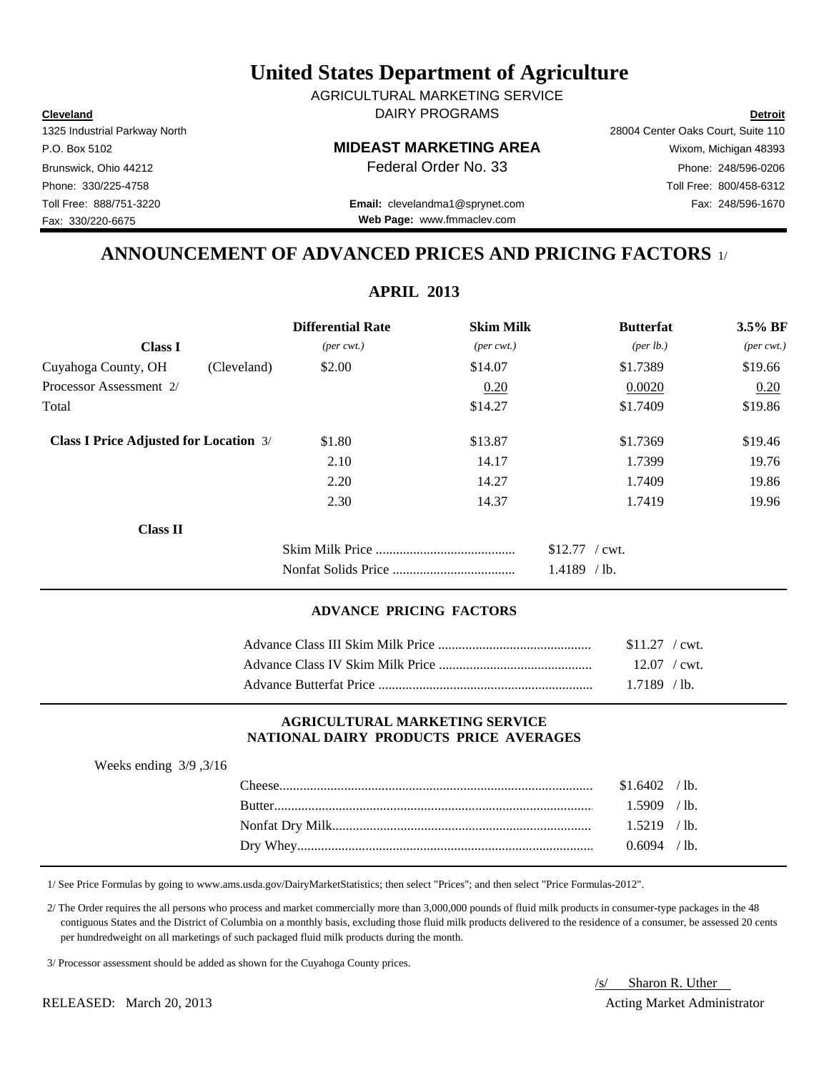**Cleveland Detroit** DAIRY PROGRAMS AGRICULTURAL MARKETING SERVICE

Fax: 330/220-6675

P.O. Box 5102 **MIDEAST MARKETING AREA** Wixom, Michigan 48393

**Web Page:** www.fmmaclev.com

1325 Industrial Parkway North 28004 Center Oaks Court, Suite 110 Brunswick, Ohio 44212 **Phone: 248/596-0206 Federal Order No. 33** Phone: 248/596-0206 Phone: 330/225-4758 Toll Free: 800/458-6312 Toll Free: 888/751-3220 Fax: 248/596-1670 **Email:** clevelandma1@sprynet.com

## **ANNOUNCEMENT OF ADVANCED PRICES AND PRICING FACTORS** 1/

| $3.5\%$ BF<br>$(\text{per} \text{ cwt.})$ |
|-------------------------------------------|
|                                           |
|                                           |
| \$19.66                                   |
| 0.20                                      |
| \$19.86                                   |
| \$19.46                                   |
| 19.76                                     |
| 19.86                                     |
| 19.96                                     |
|                                           |
|                                           |
|                                           |
|                                           |

## **ADVANCE PRICING FACTORS**

| $$11.27$ / cwt. |  |
|-----------------|--|
| $12.07$ / cwt.  |  |
| $1.7189$ / lb.  |  |

#### **AGRICULTURAL MARKETING SERVICE NATIONAL DAIRY PRODUCTS PRICE AVERAGES**

| Weeks ending $3/9$ , $3/16$ |                |  |
|-----------------------------|----------------|--|
|                             | $$1.6402$ /lb. |  |
|                             | $1.5909$ /lb.  |  |
|                             | $1.5219$ /lb.  |  |
|                             | $0.6094$ / lb. |  |
|                             |                |  |

1/ See Price Formulas by going to www.ams.usda.gov/DairyMarketStatistics; then select "Prices"; and then select "Price Formulas-2012".

 2/ The Order requires the all persons who process and market commercially more than 3,000,000 pounds of fluid milk products in consumer-type packages in the 48 contiguous States and the District of Columbia on a monthly basis, excluding those fluid milk products delivered to the residence of a consumer, be assessed 20 cents per hundredweight on all marketings of such packaged fluid milk products during the month.

3/ Processor assessment should be added as shown for the Cuyahoga County prices.

/s/ Sharon R. Uther

## **APRIL 2013**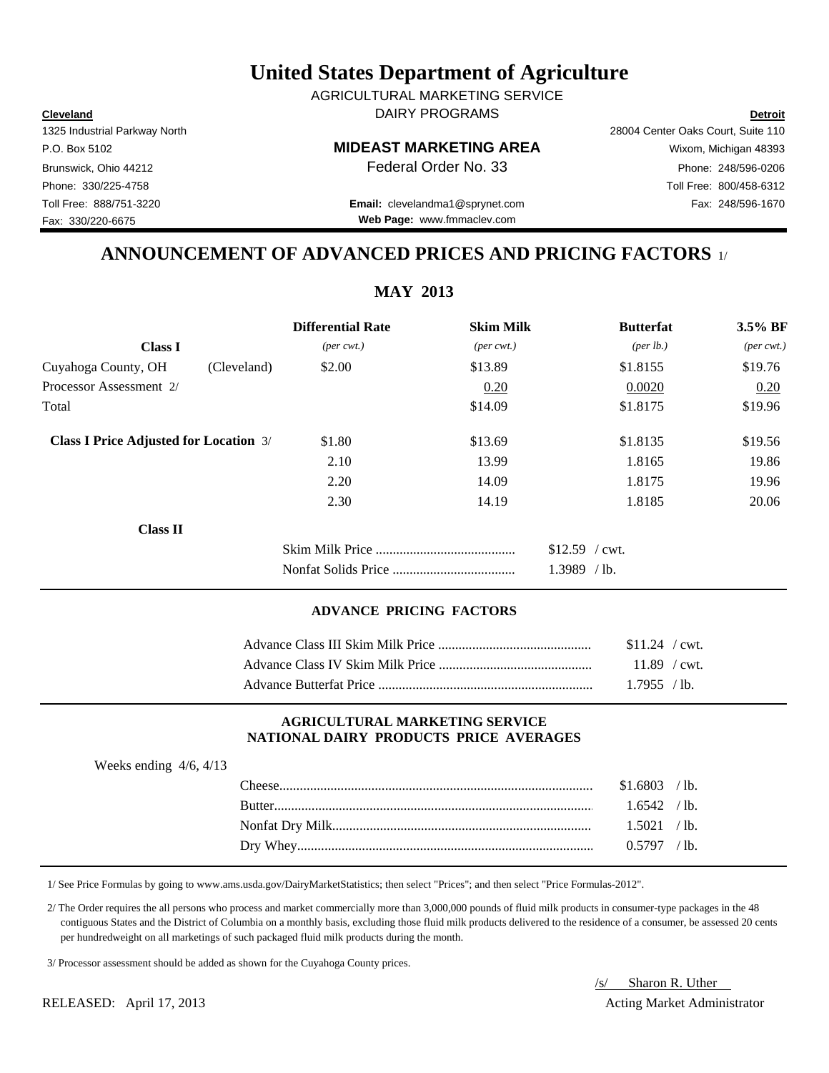**Cleveland Detroit** DAIRY PROGRAMS AGRICULTURAL MARKETING SERVICE

Toll Free: 888/751-3220 Fax: 248/596-1670 **Email:** clevelandma1@sprynet.com **Web Page:** www.fmmaclev.com

## 1325 Industrial Parkway North 28004 Center Oaks Court, Suite 110 P.O. Box 5102 **MIDEAST MARKETING AREA** Wixom, Michigan 48393 Brunswick, Ohio 44212 **Phone: 248/596-0206 Federal Order No. 33** Phone: 248/596-0206 Phone: 330/225-4758 Toll Free: 800/458-6312

**ANNOUNCEMENT OF ADVANCED PRICES AND PRICING FACTORS** 1/

|        |                                                                                                                         |                             | $3.5\%$ BF                                                   |
|--------|-------------------------------------------------------------------------------------------------------------------------|-----------------------------|--------------------------------------------------------------|
|        |                                                                                                                         |                             | $(\text{per} \text{ cwt.})$                                  |
| \$2.00 | \$13.89                                                                                                                 | \$1.8155                    | \$19.76                                                      |
|        | 0.20                                                                                                                    | 0.0020                      | 0.20                                                         |
|        | \$14.09                                                                                                                 | \$1.8175                    | \$19.96                                                      |
| \$1.80 | \$13.69                                                                                                                 | \$1.8135                    | \$19.56                                                      |
| 2.10   | 13.99                                                                                                                   | 1.8165                      | 19.86                                                        |
| 2.20   | 14.09                                                                                                                   | 1.8175                      | 19.96                                                        |
| 2.30   | 14.19                                                                                                                   | 1.8185                      | 20.06                                                        |
|        |                                                                                                                         |                             |                                                              |
|        |                                                                                                                         | $$12.59$ / cwt.             |                                                              |
|        |                                                                                                                         | $1.3989$ /lb.               |                                                              |
|        | <b>Differential Rate</b><br>$(\text{per} \text{ cwt.})$<br>(Cleveland)<br><b>Class I Price Adjusted for Location 3/</b> | $(\text{per} \text{ cwt.})$ | <b>Skim Milk</b><br><b>Butterfat</b><br>${\rm (per \, lb.)}$ |

## **ADVANCE PRICING FACTORS**

| $$11.24$ / cwt. |  |
|-----------------|--|
| $11.89$ / cwt.  |  |
| $1.7955$ /lb.   |  |

#### **AGRICULTURAL MARKETING SERVICE NATIONAL DAIRY PRODUCTS PRICE AVERAGES**

| Weeks ending $4/6$ , $4/13$ |                  |                |  |
|-----------------------------|------------------|----------------|--|
|                             | $\text{Cheese}.$ | $$1.6803$ /lb. |  |
|                             |                  | $1.6542$ /lb.  |  |
|                             |                  | 1.5021 / lb.   |  |
|                             |                  |                |  |
|                             |                  |                |  |

1/ See Price Formulas by going to www.ams.usda.gov/DairyMarketStatistics; then select "Prices"; and then select "Price Formulas-2012".

 2/ The Order requires the all persons who process and market commercially more than 3,000,000 pounds of fluid milk products in consumer-type packages in the 48 contiguous States and the District of Columbia on a monthly basis, excluding those fluid milk products delivered to the residence of a consumer, be assessed 20 cents per hundredweight on all marketings of such packaged fluid milk products during the month.

3/ Processor assessment should be added as shown for the Cuyahoga County prices.

RELEASED: April 17, 2013 2008 and the state of the state and the state and the state Administrator Acting Market Administrator

# /s/ Sharon R. Uther

Fax: 330/220-6675

**MAY 2013**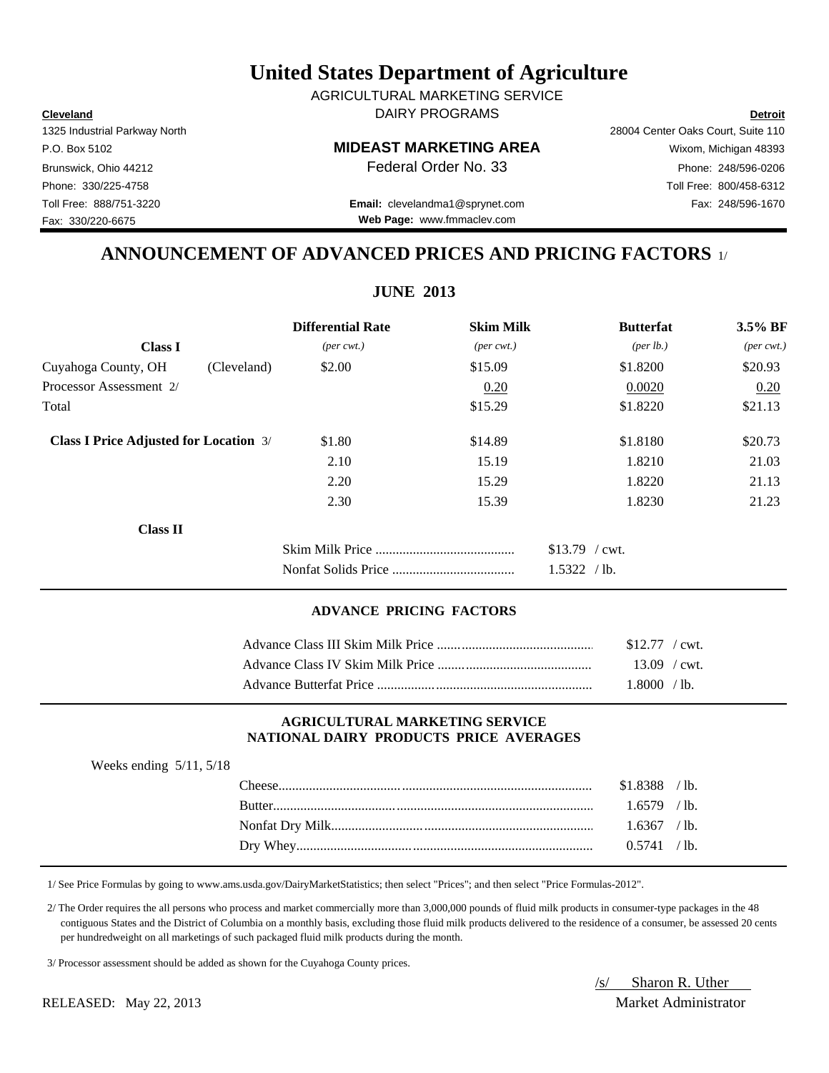**Cleveland Detroit** DAIRY PROGRAMS AGRICULTURAL MARKETING SERVICE

## P.O. Box 5102 **MIDEAST MARKETING AREA** Wixom, Michigan 48393

Toll Free: 888/751-3220 Fax: 248/596-1670 **Email:** clevelandma1@sprynet.com **Web Page:** www.fmmaclev.com

## **ANNOUNCEMENT OF ADVANCED PRICES AND PRICING FACTORS** 1/

**JUNE 2013**

|                                               | <b>Differential Rate</b>    | <b>Skim Milk</b>            | <b>Butterfat</b>     | 3.5% BF                     |
|-----------------------------------------------|-----------------------------|-----------------------------|----------------------|-----------------------------|
| <b>Class I</b>                                | $(\text{per} \text{ cwt.})$ | $(\text{per} \text{ cwt.})$ | ${\rm (per \, lb.)}$ | $(\text{per} \text{ cwt.})$ |
| Cuyahoga County, OH<br>(Cleveland)            | \$2.00                      | \$15.09                     | \$1.8200             | \$20.93                     |
| Processor Assessment 2/                       |                             | 0.20                        | 0.0020               | 0.20                        |
| Total                                         |                             | \$15.29                     | \$1.8220             | \$21.13                     |
| <b>Class I Price Adjusted for Location 3/</b> | \$1.80                      | \$14.89                     | \$1.8180             | \$20.73                     |
|                                               | 2.10                        | 15.19                       | 1.8210               | 21.03                       |
|                                               | 2.20                        | 15.29                       | 1.8220               | 21.13                       |
|                                               | 2.30                        | 15.39                       | 1.8230               | 21.23                       |
| <b>Class II</b>                               |                             |                             |                      |                             |
|                                               |                             |                             | $$13.79$ / cwt.      |                             |
|                                               |                             |                             | 1.5322 / lb.         |                             |

## **ADVANCE PRICING FACTORS**

| $$12.77$ / cwt. |  |
|-----------------|--|
| $13.09$ / cwt.  |  |
| 1.8000 /lb.     |  |

#### **AGRICULTURAL MARKETING SERVICE NATIONAL DAIRY PRODUCTS PRICE AVERAGES**

| Weeks ending $5/11$ , $5/18$ |                |  |
|------------------------------|----------------|--|
|                              | $$1.8388$ /lb. |  |
|                              | $1.6579$ /lb.  |  |
|                              | $1.6367$ /lb.  |  |
|                              | 0.5741 / lb.   |  |
|                              |                |  |

1/ See Price Formulas by going to www.ams.usda.gov/DairyMarketStatistics; then select "Prices"; and then select "Price Formulas-2012".

 2/ The Order requires the all persons who process and market commercially more than 3,000,000 pounds of fluid milk products in consumer-type packages in the 48 contiguous States and the District of Columbia on a monthly basis, excluding those fluid milk products delivered to the residence of a consumer, be assessed 20 cents per hundredweight on all marketings of such packaged fluid milk products during the month.

3/ Processor assessment should be added as shown for the Cuyahoga County prices.

/s/ Sharon R. Uther RELEASED: May 22, 2013 Market Administrator

Fax: 330/220-6675

1325 Industrial Parkway North 28004 Center Oaks Court, Suite 110 Brunswick, Ohio 44212 **Phone: 248/596-0206 Federal Order No. 33** Phone: 248/596-0206 Phone: 330/225-4758 Toll Free: 800/458-6312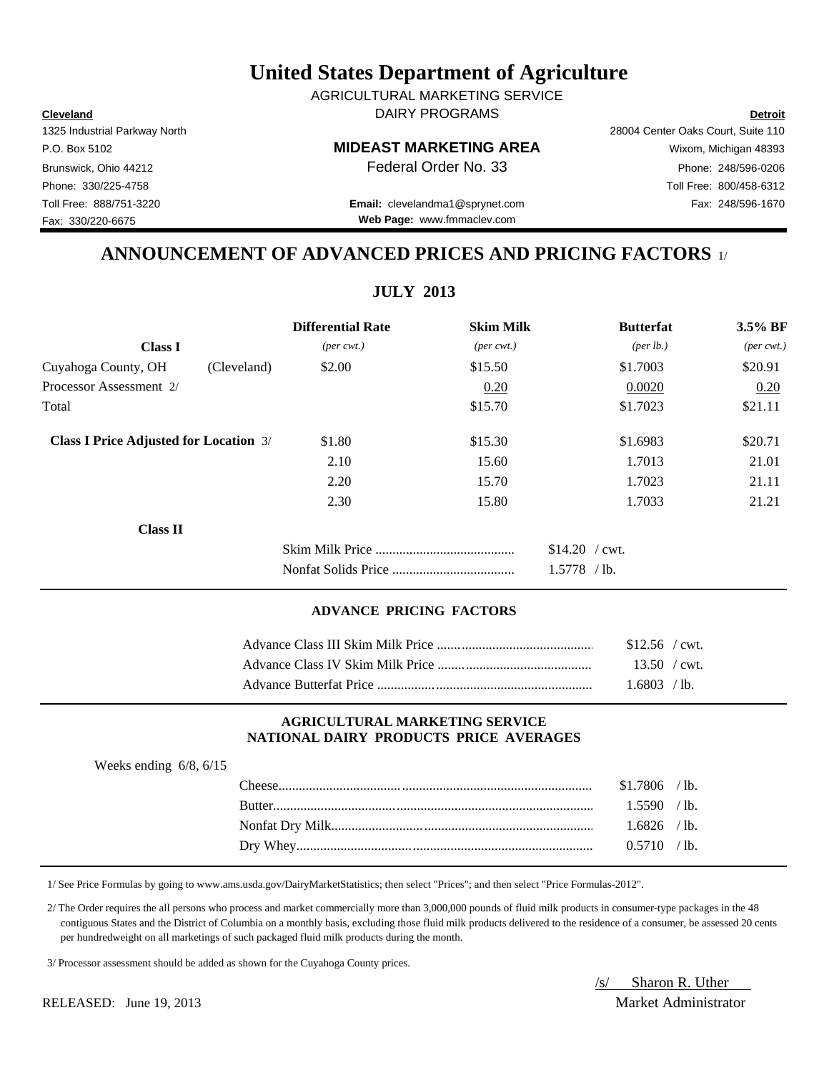**Cleveland Detroit** DAIRY PROGRAMS AGRICULTURAL MARKETING SERVICE

## P.O. Box 5102 **MIDEAST MARKETING AREA** Wixom, Michigan 48393

Toll Free: 888/751-3220 Fax: 248/596-1670 **Email:** clevelandma1@sprynet.com **Web Page:** www.fmmaclev.com

1325 Industrial Parkway North 28004 Center Oaks Court, Suite 110 Brunswick, Ohio 44212 **Phone: 248/596-0206 Federal Order No. 33** Phone: 248/596-0206 Phone: 330/225-4758 Toll Free: 800/458-6312

## **ANNOUNCEMENT OF ADVANCED PRICES AND PRICING FACTORS** 1/

**JULY 2013**

|                                               |             | <b>Differential Rate</b>    | <b>Skim Milk</b>            | <b>Butterfat</b>     | 3.5% BF                     |
|-----------------------------------------------|-------------|-----------------------------|-----------------------------|----------------------|-----------------------------|
| <b>Class I</b>                                |             | $(\text{per} \text{ cwt.})$ | $(\text{per} \text{ cwt.})$ | ${\rm (per \, lb.)}$ | $(\text{per} \text{ cwt.})$ |
| Cuyahoga County, OH                           | (Cleveland) | \$2.00                      | \$15.50                     | \$1.7003             | \$20.91                     |
| Processor Assessment 2/                       |             |                             | 0.20                        | 0.0020               | 0.20                        |
| Total                                         |             |                             | \$15.70                     | \$1.7023             | \$21.11                     |
| <b>Class I Price Adjusted for Location 3/</b> |             | \$1.80                      | \$15.30                     | \$1.6983             | \$20.71                     |
|                                               |             | 2.10                        | 15.60                       | 1.7013               | 21.01                       |
|                                               |             | 2.20                        | 15.70                       | 1.7023               | 21.11                       |
|                                               |             | 2.30                        | 15.80                       | 1.7033               | 21.21                       |
| <b>Class II</b>                               |             |                             |                             |                      |                             |
|                                               |             |                             |                             | $$14.20$ / cwt.      |                             |
|                                               |             |                             |                             | $1.5778$ /lb.        |                             |
|                                               |             |                             |                             |                      |                             |

## **ADVANCE PRICING FACTORS**

| $$12.56$ / cwt. |  |
|-----------------|--|
| $13.50$ / cwt.  |  |
| $1.6803$ /lb.   |  |

#### **AGRICULTURAL MARKETING SERVICE NATIONAL DAIRY PRODUCTS PRICE AVERAGES**

| Weeks ending $6/8$ , $6/15$ |                |  |
|-----------------------------|----------------|--|
|                             | $$1.7806$ /lb. |  |
|                             | 1.5590 / lb.   |  |
|                             | $1.6826$ /lb.  |  |
|                             | 0.5710 / lb.   |  |
|                             |                |  |

1/ See Price Formulas by going to www.ams.usda.gov/DairyMarketStatistics; then select "Prices"; and then select "Price Formulas-2012".

 2/ The Order requires the all persons who process and market commercially more than 3,000,000 pounds of fluid milk products in consumer-type packages in the 48 contiguous States and the District of Columbia on a monthly basis, excluding those fluid milk products delivered to the residence of a consumer, be assessed 20 cents per hundredweight on all marketings of such packaged fluid milk products during the month.

3/ Processor assessment should be added as shown for the Cuyahoga County prices.

/s/ Sharon R. Uther RELEASED: June 19, 2013 Market Administrator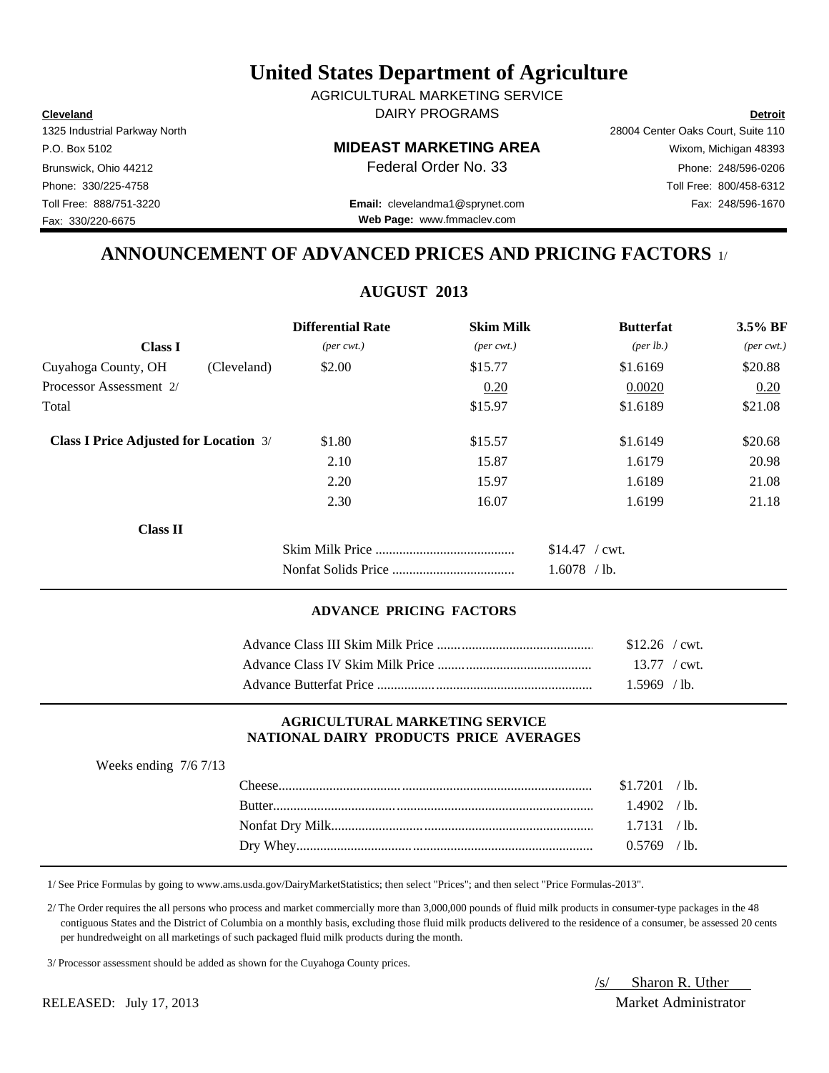**Cleveland Detroit** DAIRY PROGRAMS AGRICULTURAL MARKETING SERVICE

## P.O. Box 5102 **MIDEAST MARKETING AREA** Wixom, Michigan 48393

## Phone: 330/225-4758 Toll Free: 800/458-6312 Toll Free: 888/751-3220 Fax: 248/596-1670 **Email:** clevelandma1@sprynet.com

## **ANNOUNCEMENT OF ADVANCED PRICES AND PRICING FACTORS** 1/

**AUGUST 2013**

| <b>Differential Rate</b>    | <b>Skim Milk</b>                                             | <b>Butterfat</b>     | 3.5% BF                     |
|-----------------------------|--------------------------------------------------------------|----------------------|-----------------------------|
| $(\text{per} \text{ cwt.})$ | $(\text{per} \text{ cwt.})$                                  | ${\rm (per \, lb.)}$ | $(\text{per} \text{ cwt.})$ |
| \$2.00                      | \$15.77                                                      | \$1.6169             | \$20.88                     |
|                             | 0.20                                                         | 0.0020               | 0.20                        |
|                             | \$15.97                                                      | \$1.6189             | \$21.08                     |
| \$1.80                      | \$15.57                                                      | \$1.6149             | \$20.68                     |
| 2.10                        | 15.87                                                        | 1.6179               | 20.98                       |
| 2.20                        | 15.97                                                        | 1.6189               | 21.08                       |
| 2.30                        | 16.07                                                        | 1.6199               | 21.18                       |
|                             |                                                              |                      |                             |
|                             |                                                              | $$14.47$ / cwt.      |                             |
|                             |                                                              | $1.6078$ /lb.        |                             |
|                             | (Cleveland)<br><b>Class I Price Adjusted for Location 3/</b> |                      |                             |

#### **ADVANCE PRICING FACTORS**

| $$12.26$ / cwt.        |
|------------------------|
| $13.77 / \text{cwt}$ . |
| $1.5969$ /lb.          |

#### **AGRICULTURAL MARKETING SERVICE NATIONAL DAIRY PRODUCTS PRICE AVERAGES**

| Weeks ending $7/6$ 7/13 |                |  |
|-------------------------|----------------|--|
|                         | $$1.7201$ /lb. |  |
|                         | $1.4902$ /lb.  |  |
|                         | 1.7131 / lb.   |  |
|                         | $0.5769$ /lb.  |  |
|                         |                |  |

1/ See Price Formulas by going to www.ams.usda.gov/DairyMarketStatistics; then select "Prices"; and then select "Price Formulas-2013".

 2/ The Order requires the all persons who process and market commercially more than 3,000,000 pounds of fluid milk products in consumer-type packages in the 48 contiguous States and the District of Columbia on a monthly basis, excluding those fluid milk products delivered to the residence of a consumer, be assessed 20 cents per hundredweight on all marketings of such packaged fluid milk products during the month.

3/ Processor assessment should be added as shown for the Cuyahoga County prices.

/s/ Sharon R. Uther RELEASED: July 17, 2013 Market Administrator

1325 Industrial Parkway North 28004 Center Oaks Court, Suite 110 Brunswick, Ohio 44212 **Phone: 248/596-0206 Federal Order No. 33** Phone: 248/596-0206

**Web Page:** www.fmmaclev.com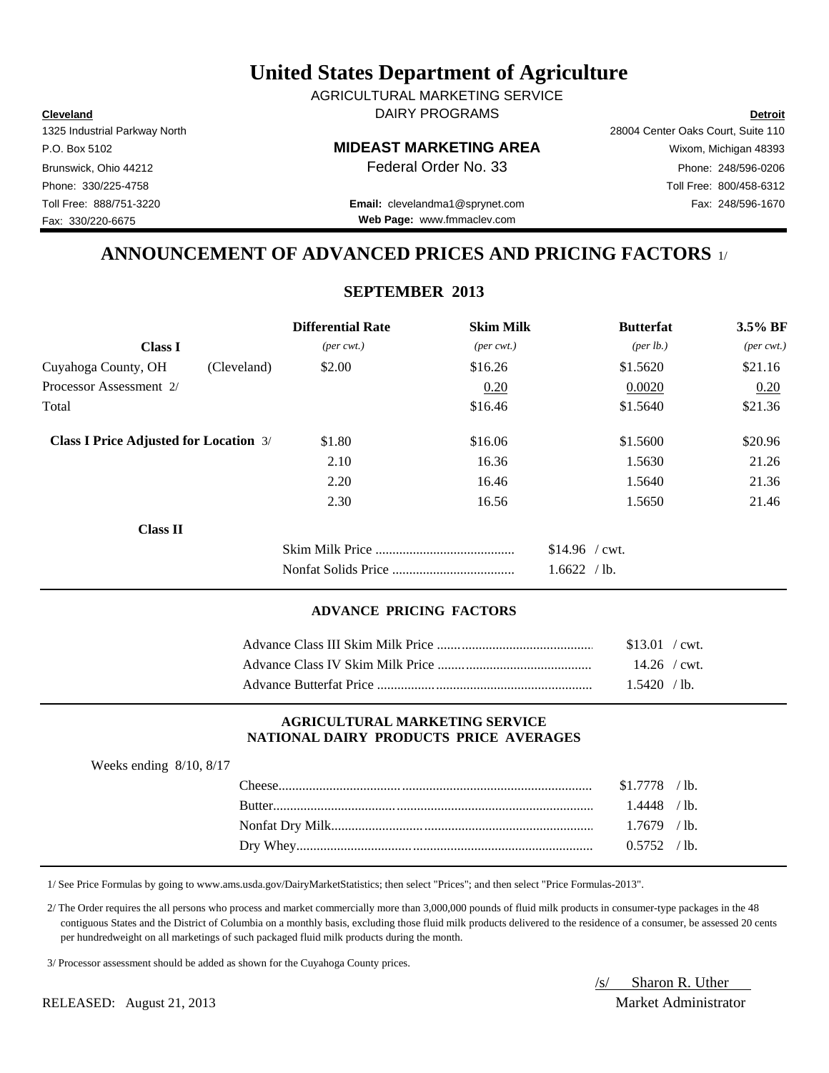**Cleveland Detroit** DAIRY PROGRAMS AGRICULTURAL MARKETING SERVICE

## P.O. Box 5102 **MIDEAST MARKETING AREA** Wixom, Michigan 48393

Toll Free: 888/751-3220 Fax: 248/596-1670 **Email:** clevelandma1@sprynet.com **Web Page:** www.fmmaclev.com

## **ANNOUNCEMENT OF ADVANCED PRICES AND PRICING FACTORS** 1/

## **SEPTEMBER 2013**

|                                               |             | <b>Differential Rate</b>    | <b>Skim Milk</b>            | <b>Butterfat</b>     | 3.5% BF                     |
|-----------------------------------------------|-------------|-----------------------------|-----------------------------|----------------------|-----------------------------|
| <b>Class I</b>                                |             | $(\text{per} \text{ cwt.})$ | $(\text{per} \text{ cwt.})$ | ${\rm (per \, lb.)}$ | $(\text{per} \text{ cwt.})$ |
| Cuyahoga County, OH                           | (Cleveland) | \$2.00                      | \$16.26                     | \$1.5620             | \$21.16                     |
| Processor Assessment 2/                       |             |                             | 0.20                        | 0.0020               | 0.20                        |
| Total                                         |             |                             | \$16.46                     | \$1.5640             | \$21.36                     |
| <b>Class I Price Adjusted for Location 3/</b> |             | \$1.80                      | \$16.06                     | \$1.5600             | \$20.96                     |
|                                               |             | 2.10                        | 16.36                       | 1.5630               | 21.26                       |
|                                               |             | 2.20                        | 16.46                       | 1.5640               | 21.36                       |
|                                               |             | 2.30                        | 16.56                       | 1.5650               | 21.46                       |
| Class II                                      |             |                             |                             |                      |                             |
|                                               |             |                             |                             | $$14.96$ / cwt.      |                             |
|                                               |             |                             |                             | 1.6622 / lb.         |                             |

## **ADVANCE PRICING FACTORS**

| \$13.01 / cwt. |
|----------------|
| $14.26$ / cwt. |
| $1.5420$ /lb.  |

#### **AGRICULTURAL MARKETING SERVICE NATIONAL DAIRY PRODUCTS PRICE AVERAGES**

| Weeks ending $8/10$ , $8/17$ |                |  |
|------------------------------|----------------|--|
|                              | $$1.7778$ /lb. |  |
|                              | $1.4448$ /lb.  |  |
|                              | $1.7679$ /lb.  |  |
|                              | $0.5752$ /lb.  |  |
|                              |                |  |

1/ See Price Formulas by going to www.ams.usda.gov/DairyMarketStatistics; then select "Prices"; and then select "Price Formulas-2013".

 2/ The Order requires the all persons who process and market commercially more than 3,000,000 pounds of fluid milk products in consumer-type packages in the 48 contiguous States and the District of Columbia on a monthly basis, excluding those fluid milk products delivered to the residence of a consumer, be assessed 20 cents per hundredweight on all marketings of such packaged fluid milk products during the month.

3/ Processor assessment should be added as shown for the Cuyahoga County prices.

/s/ Sharon R. Uther

RELEASED: August 21, 2013 Market Administrator

Fax: 330/220-6675

1325 Industrial Parkway North 28004 Center Oaks Court, Suite 110 Brunswick, Ohio 44212 **Phone: 248/596-0206 Federal Order No. 33** Phone: 248/596-0206 Phone: 330/225-4758 Toll Free: 800/458-6312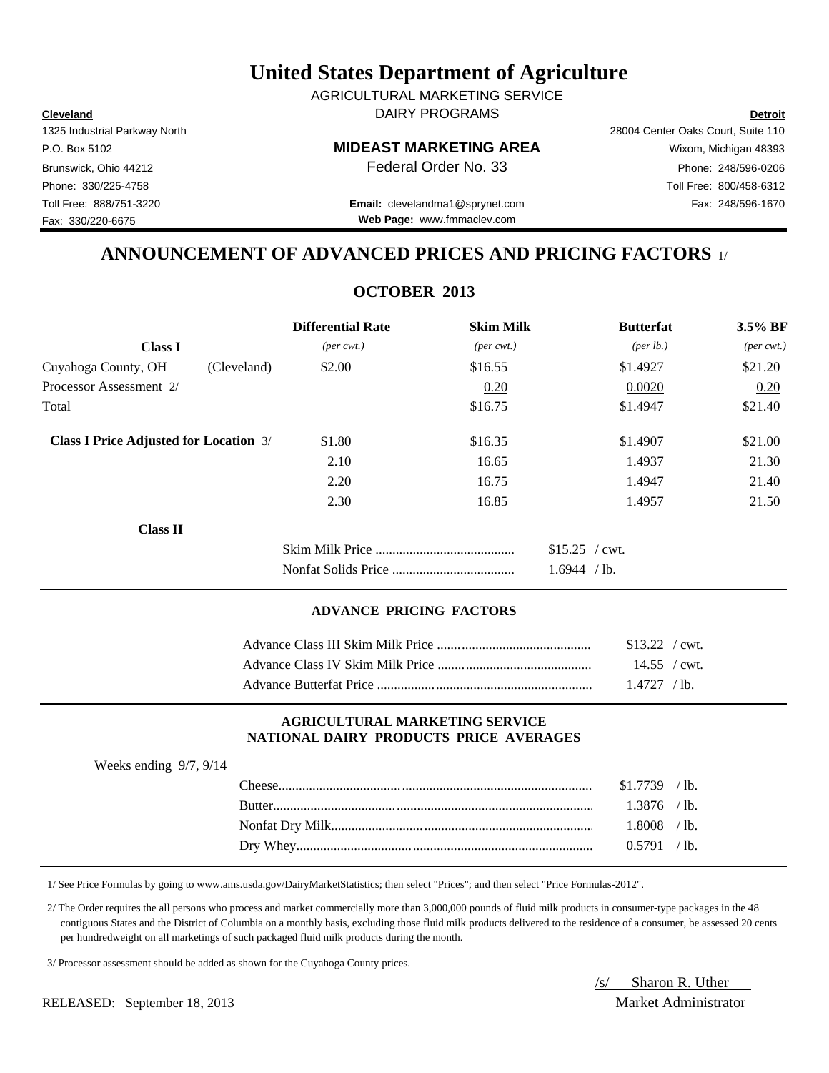**Cleveland Detroit** DAIRY PROGRAMS AGRICULTURAL MARKETING SERVICE

## P.O. Box 5102 **MIDEAST MARKETING AREA** Wixom, Michigan 48393

Phone: 330/225-4758 Toll Free: 800/458-6312 Toll Free: 888/751-3220 Fax: 248/596-1670 **Email:** clevelandma1@sprynet.com **Web Page:** www.fmmaclev.com

1325 Industrial Parkway North 28004 Center Oaks Court, Suite 110 Brunswick, Ohio 44212 **Phone: 248/596-0206 Federal Order No. 33** Phone: 248/596-0206

**ANNOUNCEMENT OF ADVANCED PRICES AND PRICING FACTORS** 1/

## **OCTOBER 2013**

|                                               |             | <b>Differential Rate</b>    | <b>Skim Milk</b>            | <b>Butterfat</b>     | $3.5\%$ BF                  |
|-----------------------------------------------|-------------|-----------------------------|-----------------------------|----------------------|-----------------------------|
| <b>Class I</b>                                |             | $(\text{per} \text{ cwt.})$ | $(\text{per} \text{ cwt.})$ | ${\rm (per \, lb.)}$ | $(\text{per} \text{ cwt.})$ |
| Cuyahoga County, OH                           | (Cleveland) | \$2.00                      | \$16.55                     | \$1.4927             | \$21.20                     |
| Processor Assessment 2/                       |             |                             | 0.20                        | 0.0020               | 0.20                        |
| Total                                         |             |                             | \$16.75                     | \$1.4947             | \$21.40                     |
| <b>Class I Price Adjusted for Location 3/</b> |             | \$1.80                      | \$16.35                     | \$1.4907             | \$21.00                     |
|                                               |             | 2.10                        | 16.65                       | 1.4937               | 21.30                       |
|                                               |             | 2.20                        | 16.75                       | 1.4947               | 21.40                       |
|                                               |             | 2.30                        | 16.85                       | 1.4957               | 21.50                       |
| Class II                                      |             |                             |                             |                      |                             |
|                                               |             |                             |                             | $$15.25$ / cwt.      |                             |
|                                               |             |                             |                             | 1.6944 / lb.         |                             |

#### **ADVANCE PRICING FACTORS**

| $$13.22$ / cwt.      |
|----------------------|
| $14.55 / \text{cwt}$ |
| 1.4727 / lb.         |

#### **AGRICULTURAL MARKETING SERVICE NATIONAL DAIRY PRODUCTS PRICE AVERAGES**

| Weeks ending $9/7$ , $9/14$ |                |  |
|-----------------------------|----------------|--|
|                             | $$1.7739$ /lb. |  |
|                             | $1.3876$ /lb.  |  |
|                             | $1.8008$ /lb.  |  |
|                             | 0.5791 / lb.   |  |
|                             |                |  |

1/ See Price Formulas by going to www.ams.usda.gov/DairyMarketStatistics; then select "Prices"; and then select "Price Formulas-2012".

 2/ The Order requires the all persons who process and market commercially more than 3,000,000 pounds of fluid milk products in consumer-type packages in the 48 contiguous States and the District of Columbia on a monthly basis, excluding those fluid milk products delivered to the residence of a consumer, be assessed 20 cents per hundredweight on all marketings of such packaged fluid milk products during the month.

3/ Processor assessment should be added as shown for the Cuyahoga County prices.

RELEASED: September 18, 2013 Market Administrator

/s/ Sharon R. Uther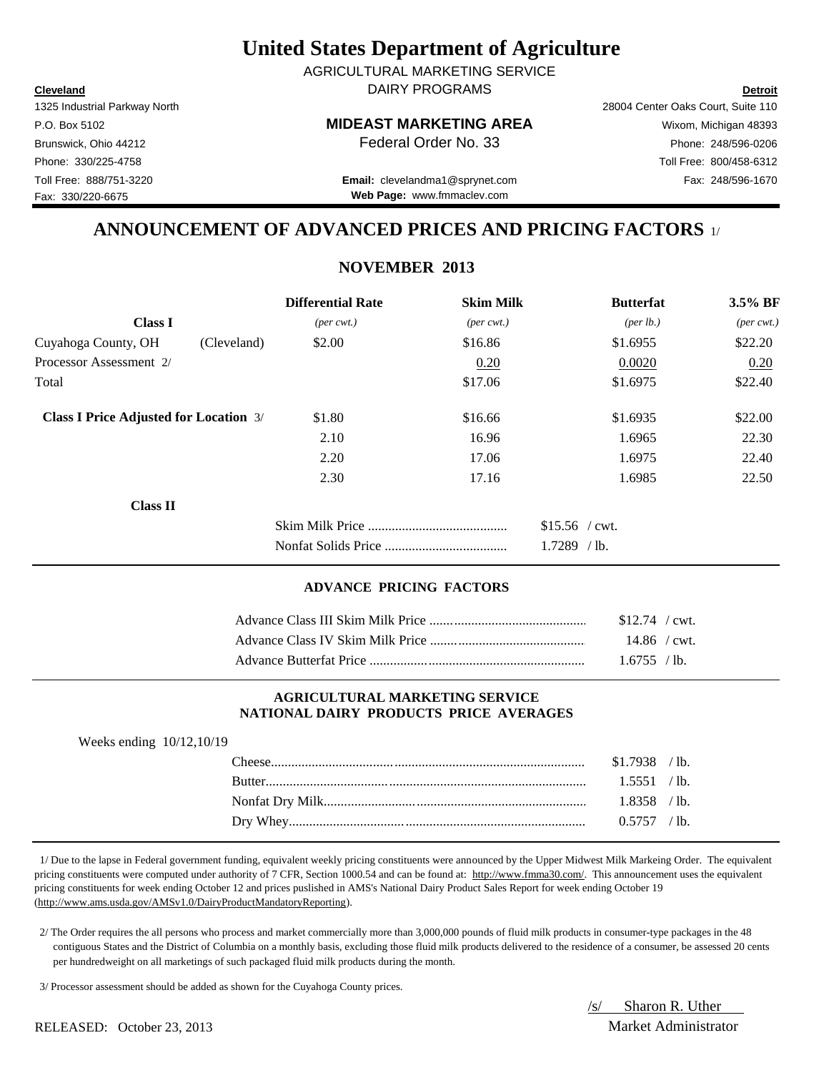**Cleveland Detroit** DAIRY PROGRAMS AGRICULTURAL MARKETING SERVICE

Fax: 330/220-6675

#### P.O. Box 5102 **MIDEAST MARKETING AREA** Wixom, Michigan 48393

1325 Industrial Parkway North 28004 Center Oaks Court, Suite 110 Brunswick, Ohio 44212 **Phone: 248/596-0206 Federal Order No. 33** Phone: 248/596-0206 Phone: 330/225-4758 Toll Free: 800/458-6312

Toll Free: 888/751-3220 Fax: 248/596-1670 **Email:** clevelandma1@sprynet.com **Web Page:** www.fmmaclev.com

## **ANNOUNCEMENT OF ADVANCED PRICES AND PRICING FACTORS** 1/

## **NOVEMBER 2013**

|                                               |             | <b>Differential Rate</b>    | <b>Skim Milk</b>            | <b>Butterfat</b>     | 3.5% BF                     |
|-----------------------------------------------|-------------|-----------------------------|-----------------------------|----------------------|-----------------------------|
| <b>Class I</b>                                |             | $(\text{per} \text{ cwt.})$ | $(\text{per} \text{ cwt.})$ | ${\rm (per \, lb.)}$ | $(\text{per} \text{ cwt.})$ |
| Cuyahoga County, OH                           | (Cleveland) | \$2.00                      | \$16.86                     | \$1.6955             | \$22.20                     |
| Processor Assessment 2/                       |             |                             | 0.20                        | 0.0020               | 0.20                        |
| Total                                         |             |                             | \$17.06                     | \$1.6975             | \$22.40                     |
| <b>Class I Price Adjusted for Location 3/</b> |             | \$1.80                      | \$16.66                     | \$1.6935             | \$22.00                     |
|                                               |             | 2.10                        | 16.96                       | 1.6965               | 22.30                       |
|                                               |             | 2.20                        | 17.06                       | 1.6975               | 22.40                       |
|                                               |             | 2.30                        | 17.16                       | 1.6985               | 22.50                       |
| <b>Class II</b>                               |             |                             |                             |                      |                             |
|                                               |             |                             |                             | $$15.56$ / cwt.      |                             |
|                                               |             |                             | $1.7289$ /lb.               |                      |                             |

#### **ADVANCE PRICING FACTORS**

| $$12.74$ / cwt. |  |
|-----------------|--|
|                 |  |
| 1.6755 / lb.    |  |

#### **AGRICULTURAL MARKETING SERVICE NATIONAL DAIRY PRODUCTS PRICE AVERAGES**

| `heese        | $\prime$ lb.<br>\$1.7938     |  |
|---------------|------------------------------|--|
| <b>Butter</b> | $^{\prime}$ lb.<br>5551      |  |
|               | $\prime$ lb.<br>$1.8358$ $'$ |  |
| Dry Whey.     | $^{\prime}$ lb.<br>በ 5757    |  |

 1/ Due to the lapse in Federal government funding, equivalent weekly pricing constituents were announced by the Upper Midwest Milk Markeing Order. The equivalent pricing constituents were computed under authority of 7 CFR, Section 1000.54 and can be found at: http://www.fmma30.com/. This announcement uses the equivalent pricing constituents for week ending October 12 and prices puslished in AMS's National Dairy Product Sales Report for week ending October 19 (http://www.ams.usda.gov/AMSv1.0/DairyProductMandatoryReporting).

 2/ The Order requires the all persons who process and market commercially more than 3,000,000 pounds of fluid milk products in consumer-type packages in the 48 contiguous States and the District of Columbia on a monthly basis, excluding those fluid milk products delivered to the residence of a consumer, be assessed 20 cents per hundredweight on all marketings of such packaged fluid milk products during the month.

3/ Processor assessment should be added as shown for the Cuyahoga County prices.

/s/ Sharon R. Uther

#### RELEASED: October 23, 2013 Market Administrator